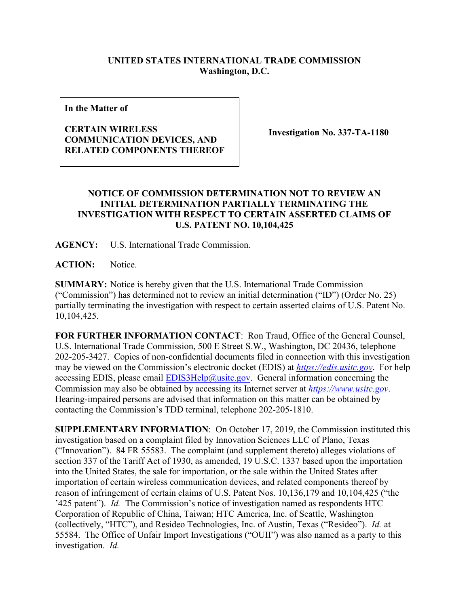## **UNITED STATES INTERNATIONAL TRADE COMMISSION Washington, D.C.**

**In the Matter of**

## **CERTAIN WIRELESS COMMUNICATION DEVICES, AND RELATED COMPONENTS THEREOF**

**Investigation No. 337-TA-1180**

## **NOTICE OF COMMISSION DETERMINATION NOT TO REVIEW AN INITIAL DETERMINATION PARTIALLY TERMINATING THE INVESTIGATION WITH RESPECT TO CERTAIN ASSERTED CLAIMS OF U.S. PATENT NO. 10,104,425**

**AGENCY:** U.S. International Trade Commission.

**ACTION:** Notice.

**SUMMARY:** Notice is hereby given that the U.S. International Trade Commission ("Commission") has determined not to review an initial determination ("ID") (Order No. 25) partially terminating the investigation with respect to certain asserted claims of U.S. Patent No. 10,104,425.

**FOR FURTHER INFORMATION CONTACT**: Ron Traud, Office of the General Counsel, U.S. International Trade Commission, 500 E Street S.W., Washington, DC 20436, telephone 202-205-3427. Copies of non-confidential documents filed in connection with this investigation may be viewed on the Commission's electronic docket (EDIS) at *[https://edis.usitc.gov](https://edis.usitc.gov/)*. For help accessing EDIS, please email  $EDIS3Help@usite.gov$ . General information concerning the Commission may also be obtained by accessing its Internet server at *[https://www.usitc.gov](https://www.usitc.gov/)*. Hearing-impaired persons are advised that information on this matter can be obtained by contacting the Commission's TDD terminal, telephone 202-205-1810.

**SUPPLEMENTARY INFORMATION**: On October 17, 2019, the Commission instituted this investigation based on a complaint filed by Innovation Sciences LLC of Plano, Texas ("Innovation"). 84 FR 55583. The complaint (and supplement thereto) alleges violations of section 337 of the Tariff Act of 1930, as amended, 19 U.S.C. 1337 based upon the importation into the United States, the sale for importation, or the sale within the United States after importation of certain wireless communication devices, and related components thereof by reason of infringement of certain claims of U.S. Patent Nos. 10,136,179 and 10,104,425 ("the '425 patent"). *Id.* The Commission's notice of investigation named as respondents HTC Corporation of Republic of China, Taiwan; HTC America, Inc. of Seattle, Washington (collectively, "HTC"), and Resideo Technologies, Inc. of Austin, Texas ("Resideo"). *Id.* at 55584. The Office of Unfair Import Investigations ("OUII") was also named as a party to this investigation. *Id.*